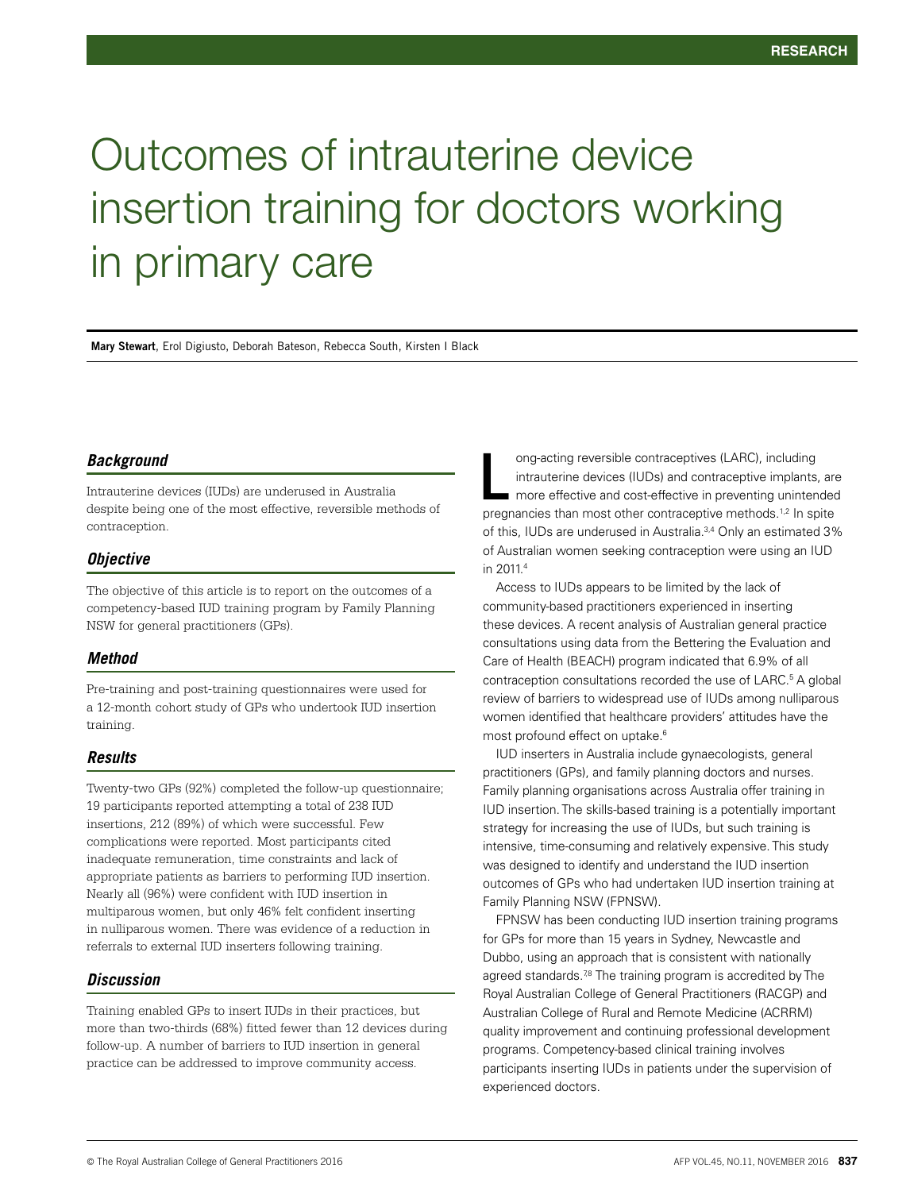# Outcomes of intrauterine device insertion training for doctors working in primary care

**Mary Stewart**, Erol Digiusto, Deborah Bateson, Rebecca South, Kirsten I Black

# *Background*

Intrauterine devices (IUDs) are underused in Australia despite being one of the most effective, reversible methods of contraception.

# *Objective*

The objective of this article is to report on the outcomes of a competency-based IUD training program by Family Planning NSW for general practitioners (GPs).

#### *Method*

Pre-training and post-training questionnaires were used for a 12-month cohort study of GPs who undertook IUD insertion training.

# *Results*

Twenty-two GPs (92%) completed the follow-up questionnaire; 19 participants reported attempting a total of 238 IUD insertions, 212 (89%) of which were successful. Few complications were reported. Most participants cited inadequate remuneration, time constraints and lack of appropriate patients as barriers to performing IUD insertion. Nearly all (96%) were confident with IUD insertion in multiparous women, but only 46% felt confident inserting in nulliparous women. There was evidence of a reduction in referrals to external IUD inserters following training.

# *Discussion*

Training enabled GPs to insert IUDs in their practices, but more than two-thirds (68%) fitted fewer than 12 devices during follow-up. A number of barriers to IUD insertion in general practice can be addressed to improve community access.

ong-acting reversible contraceptives (LARC), including intrauterine devices (IUDs) and contraceptive implants, are **namerary more effective in preventing unintended** ong-acting reversible contraceptives (LARC), including<br>intrauterine devices (IUDs) and contraceptive implants, are<br>more effective and cost-effective in preventing unintended<br>pregnancies than most other contraceptive method of this, IUDs are underused in Australia.<sup>3,4</sup> Only an estimated 3% of Australian women seeking contraception were using an IUD in 2011<sup>4</sup>

Access to IUDs appears to be limited by the lack of community-based practitioners experienced in inserting these devices. A recent analysis of Australian general practice consultations using data from the Bettering the Evaluation and Care of Health (BEACH) program indicated that 6.9% of all contraception consultations recorded the use of LARC.<sup>5</sup> A global review of barriers to widespread use of IUDs among nulliparous women identified that healthcare providers' attitudes have the most profound effect on uptake.<sup>6</sup>

IUD inserters in Australia include gynaecologists, general practitioners (GPs), and family planning doctors and nurses. Family planning organisations across Australia offer training in IUD insertion. The skills-based training is a potentially important strategy for increasing the use of IUDs, but such training is intensive, time-consuming and relatively expensive. This study was designed to identify and understand the IUD insertion outcomes of GPs who had undertaken IUD insertion training at Family Planning NSW (FPNSW).

FPNSW has been conducting IUD insertion training programs for GPs for more than 15 years in Sydney, Newcastle and Dubbo, using an approach that is consistent with nationally agreed standards.<sup>78</sup> The training program is accredited by The Royal Australian College of General Practitioners (RACGP) and Australian College of Rural and Remote Medicine (ACRRM) quality improvement and continuing professional development programs. Competency-based clinical training involves participants inserting IUDs in patients under the supervision of experienced doctors.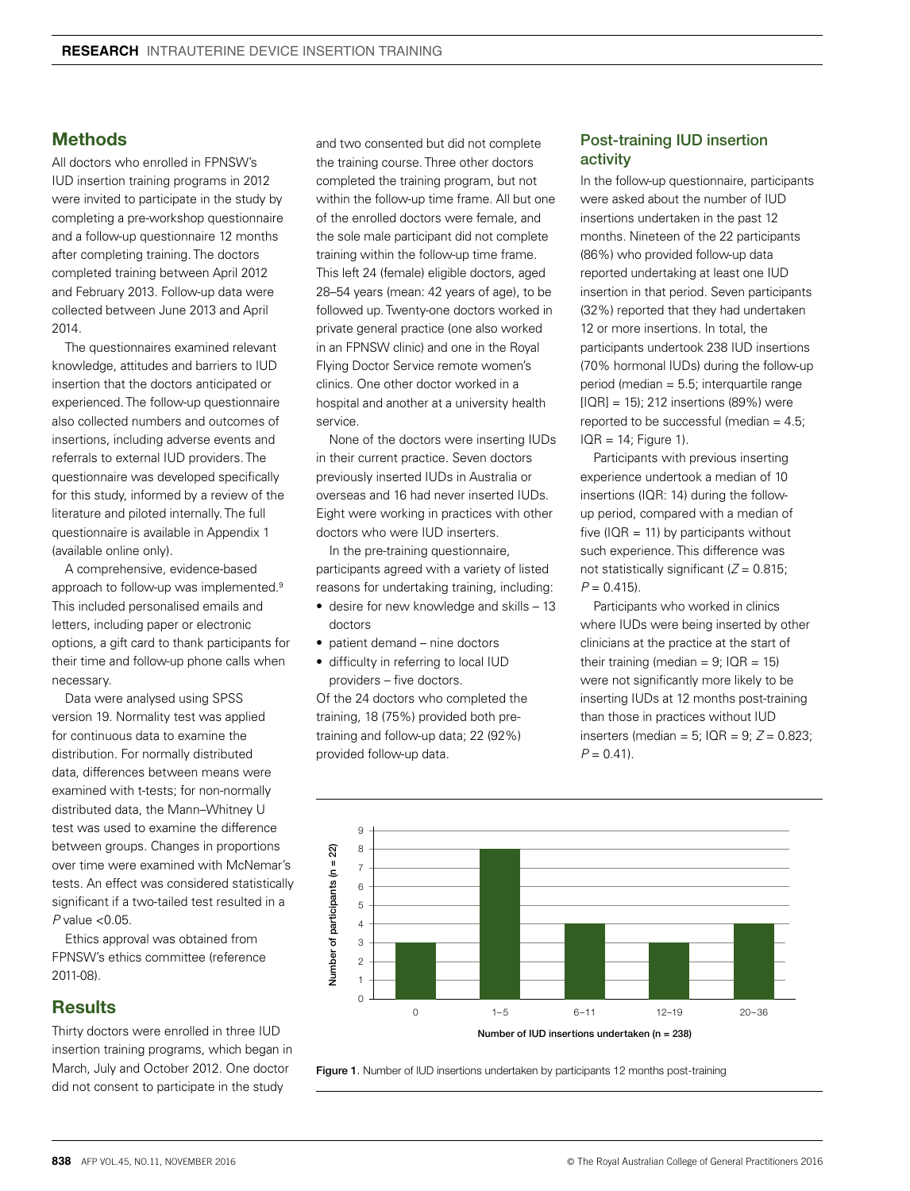# **Methods**

All doctors who enrolled in FPNSW's IUD insertion training programs in 2012 were invited to participate in the study by completing a pre-workshop questionnaire and a follow-up questionnaire 12 months after completing training. The doctors completed training between April 2012 and February 2013. Follow-up data were collected between June 2013 and April 2014.

The questionnaires examined relevant knowledge, attitudes and barriers to IUD insertion that the doctors anticipated or experienced. The follow-up questionnaire also collected numbers and outcomes of insertions, including adverse events and referrals to external IUD providers. The questionnaire was developed specifically for this study, informed by a review of the literature and piloted internally. The full questionnaire is available in Appendix 1 (available online only).

A comprehensive, evidence-based approach to follow-up was implemented.<sup>9</sup> This included personalised emails and letters, including paper or electronic options, a gift card to thank participants for their time and follow-up phone calls when necessary.

Data were analysed using SPSS version 19. Normality test was applied for continuous data to examine the distribution. For normally distributed data, differences between means were examined with t-tests; for non-normally distributed data, the Mann–Whitney U test was used to examine the difference between groups. Changes in proportions over time were examined with McNemar's tests. An effect was considered statistically significant if a two-tailed test resulted in a *P* value <0.05.

Ethics approval was obtained from FPNSW's ethics committee (reference 2011-08).

# **Results**

Thirty doctors were enrolled in three IUD insertion training programs, which began in March, July and October 2012. One doctor did not consent to participate in the study

and two consented but did not complete the training course. Three other doctors completed the training program, but not within the follow-up time frame. All but one of the enrolled doctors were female, and the sole male participant did not complete training within the follow-up time frame. This left 24 (female) eligible doctors, aged 28–54 years (mean: 42 years of age), to be followed up. Twenty-one doctors worked in private general practice (one also worked in an FPNSW clinic) and one in the Royal Flying Doctor Service remote women's clinics. One other doctor worked in a hospital and another at a university health service.

None of the doctors were inserting IUDs in their current practice. Seven doctors previously inserted IUDs in Australia or overseas and 16 had never inserted IUDs. Eight were working in practices with other doctors who were IUD inserters.

In the pre-training questionnaire, participants agreed with a variety of listed reasons for undertaking training, including:

- desire for new knowledge and skills 13 doctors
- patient demand nine doctors
- difficulty in referring to local IUD providers – five doctors.

Of the 24 doctors who completed the training, 18 (75%) provided both pretraining and follow-up data; 22 (92%) provided follow-up data.

# Post-training IUD insertion activity

In the follow-up questionnaire, participants were asked about the number of IUD insertions undertaken in the past 12 months. Nineteen of the 22 participants (86%) who provided follow-up data reported undertaking at least one IUD insertion in that period. Seven participants (32%) reported that they had undertaken 12 or more insertions. In total, the participants undertook 238 IUD insertions (70% hormonal IUDs) during the follow-up period (median = 5.5; interquartile range [IQR] = 15); 212 insertions (89%) were reported to be successful (median  $= 4.5$ )  $IQR = 14$ ; Figure 1).

Participants with previous inserting experience undertook a median of 10 insertions (IQR: 14) during the followup period, compared with a median of five ( $IQR = 11$ ) by participants without such experience. This difference was not statistically significant (*Z* = 0.815;  $P = 0.415$ .

Participants who worked in clinics where IUDs were being inserted by other clinicians at the practice at the start of their training (median =  $9$ ; IQR = 15) were not significantly more likely to be inserting IUDs at 12 months post-training than those in practices without IUD inserters (median = 5; IQR = 9; *Z* = 0.823;  $P = 0.41$ .



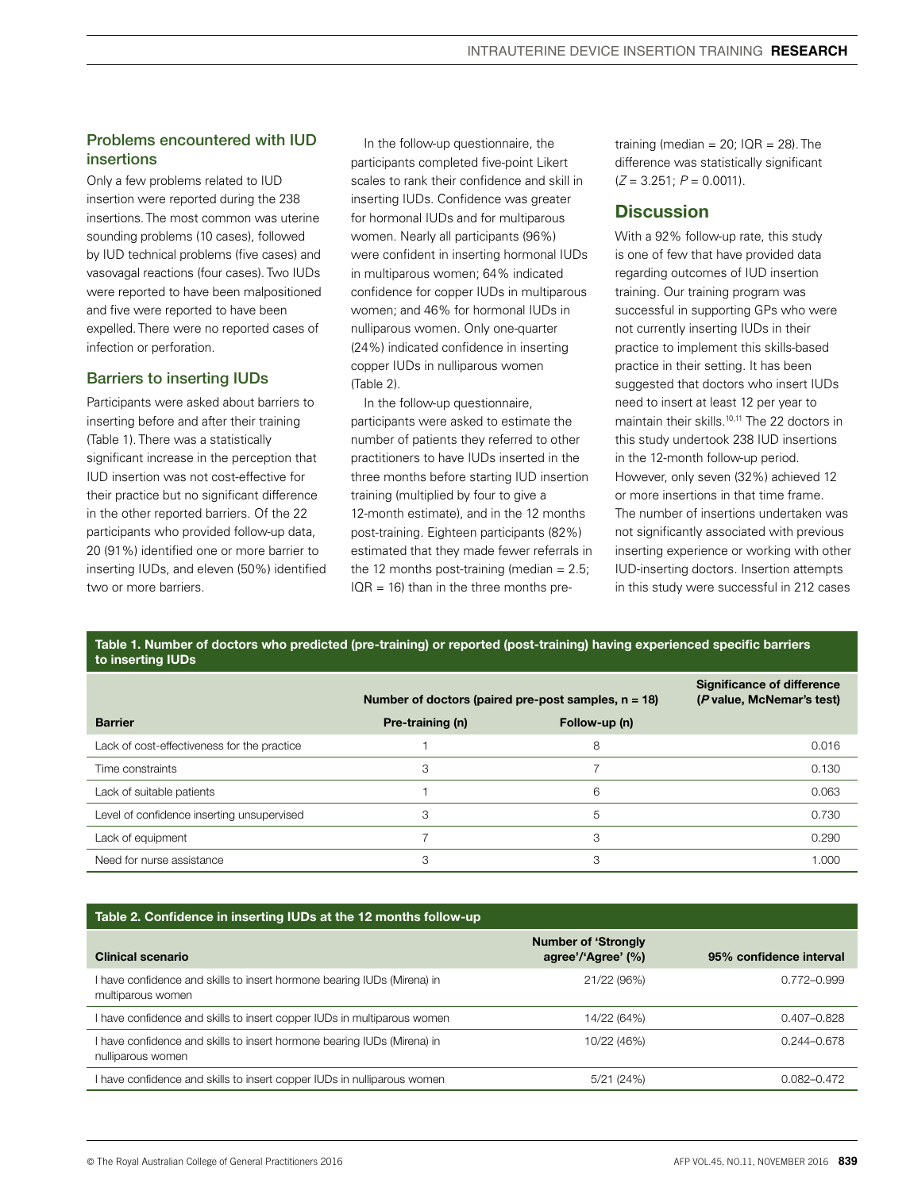# Problems encountered with IUD insertions

Only a few problems related to IUD insertion were reported during the 238 insertions. The most common was uterine sounding problems (10 cases), followed by IUD technical problems (five cases) and vasovagal reactions (four cases). Two IUDs were reported to have been malpositioned and five were reported to have been expelled. There were no reported cases of infection or perforation.

# Barriers to inserting IUDs

Participants were asked about barriers to inserting before and after their training (Table 1). There was a statistically significant increase in the perception that IUD insertion was not cost-effective for their practice but no significant difference in the other reported barriers. Of the 22 participants who provided follow-up data, 20 (91%) identified one or more barrier to inserting IUDs, and eleven (50%) identified two or more barriers.

In the follow-up questionnaire, the participants completed five-point Likert scales to rank their confidence and skill in inserting IUDs. Confidence was greater for hormonal IUDs and for multiparous women. Nearly all participants (96%) were confident in inserting hormonal IUDs in multiparous women; 64% indicated confidence for copper IUDs in multiparous women; and 46% for hormonal IUDs in nulliparous women. Only one-quarter (24%) indicated confidence in inserting copper IUDs in nulliparous women (Table 2).

In the follow-up questionnaire, participants were asked to estimate the number of patients they referred to other practitioners to have IUDs inserted in the three months before starting IUD insertion training (multiplied by four to give a 12-month estimate), and in the 12 months post-training. Eighteen participants (82%) estimated that they made fewer referrals in the 12 months post-training (median  $= 2.5$ ;  $IQR = 16$ ) than in the three months pretraining (median =  $20$ ; IQR =  $28$ ). The difference was statistically significant (*Z* = 3.251; *P* = 0.0011).

# **Discussion**

With a 92% follow-up rate, this study is one of few that have provided data regarding outcomes of IUD insertion training. Our training program was successful in supporting GPs who were not currently inserting IUDs in their practice to implement this skills-based practice in their setting. It has been suggested that doctors who insert IUDs need to insert at least 12 per year to maintain their skills.10,11 The 22 doctors in this study undertook 238 IUD insertions in the 12-month follow-up period. However, only seven (32%) achieved 12 or more insertions in that time frame. The number of insertions undertaken was not significantly associated with previous inserting experience or working with other IUD-inserting doctors. Insertion attempts in this study were successful in 212 cases

| Table 1. Number of doctors who predicted (pre-training) or reported (post-training) having experienced specific barriers |  |
|--------------------------------------------------------------------------------------------------------------------------|--|
| to inserting IUDs                                                                                                        |  |

|                                             | Number of doctors (paired pre-post samples, $n = 18$ ) | <b>Significance of difference</b><br>(P value, McNemar's test) |       |
|---------------------------------------------|--------------------------------------------------------|----------------------------------------------------------------|-------|
| <b>Barrier</b>                              | Pre-training (n)                                       | Follow-up (n)                                                  |       |
| Lack of cost-effectiveness for the practice |                                                        | 8                                                              | 0.016 |
| Time constraints                            | 3                                                      |                                                                | 0.130 |
| Lack of suitable patients                   |                                                        | 6                                                              | 0.063 |
| Level of confidence inserting unsupervised  | 3                                                      | 5                                                              | 0.730 |
| Lack of equipment                           |                                                        | 3                                                              | 0.290 |
| Need for nurse assistance                   | 3                                                      | З                                                              | 1.000 |

#### Table 2. Confidence in inserting IUDs at the 12 months follow-up

| <b>Clinical scenario</b>                                                                     | <b>Number of 'Strongly</b><br>agree'/'Agree' (%) | 95% confidence interval |
|----------------------------------------------------------------------------------------------|--------------------------------------------------|-------------------------|
| I have confidence and skills to insert hormone bearing IUDs (Mirena) in<br>multiparous women | 21/22 (96%)                                      | 0.772-0.999             |
| I have confidence and skills to insert copper IUDs in multiparous women                      | 14/22 (64%)                                      | 0.407-0.828             |
| I have confidence and skills to insert hormone bearing IUDs (Mirena) in<br>nulliparous women | 10/22 (46%)                                      | $0.244 - 0.678$         |
| I have confidence and skills to insert copper IUDs in nulliparous women                      | 5/21(24%)                                        | 0.082-0.472             |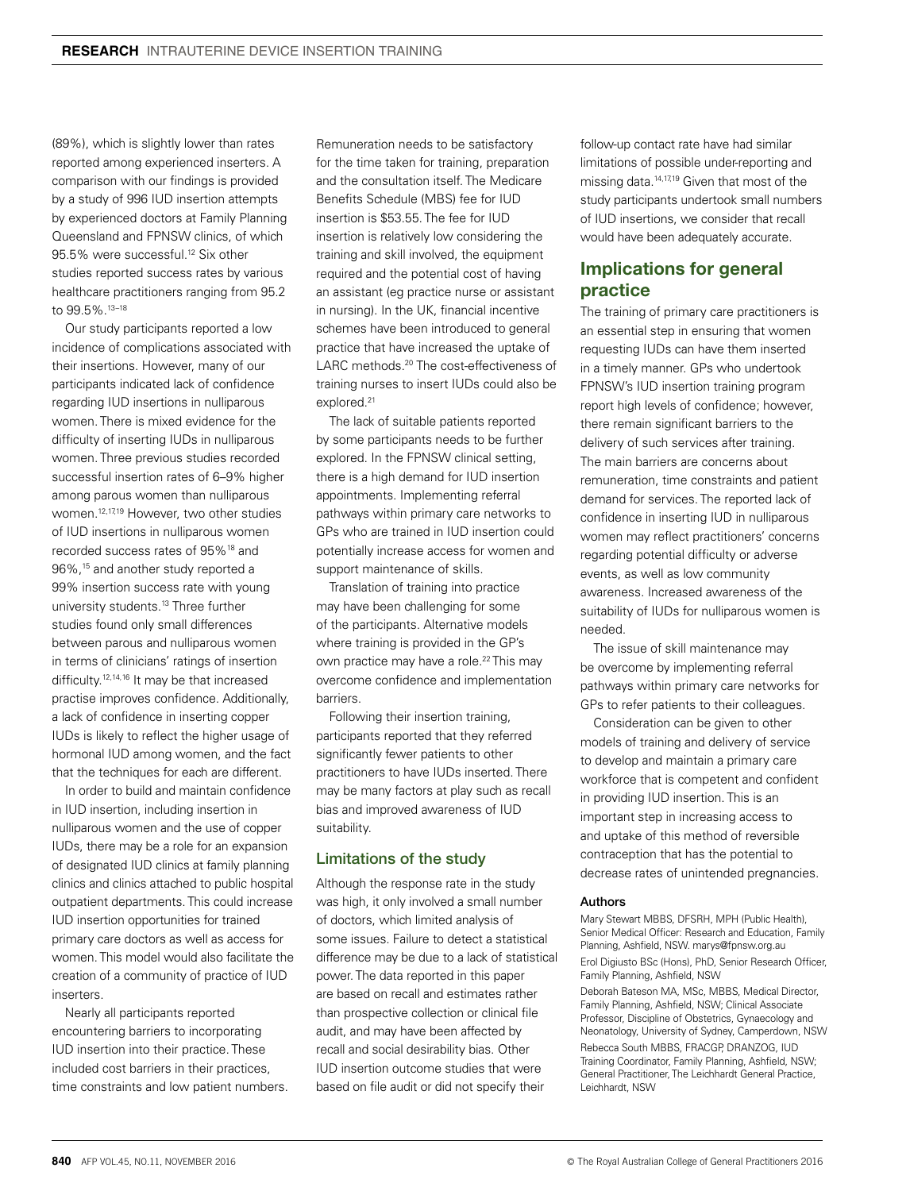(89%), which is slightly lower than rates reported among experienced inserters. A comparison with our findings is provided by a study of 996 IUD insertion attempts by experienced doctors at Family Planning Queensland and FPNSW clinics, of which 95.5% were successful.12 Six other studies reported success rates by various healthcare practitioners ranging from 95.2 to 99.5%.13–18

Our study participants reported a low incidence of complications associated with their insertions. However, many of our participants indicated lack of confidence regarding IUD insertions in nulliparous women. There is mixed evidence for the difficulty of inserting IUDs in nulliparous women. Three previous studies recorded successful insertion rates of 6–9% higher among parous women than nulliparous women.12,17,19 However, two other studies of IUD insertions in nulliparous women recorded success rates of 95%18 and 96%,15 and another study reported a 99% insertion success rate with young university students.<sup>13</sup> Three further studies found only small differences between parous and nulliparous women in terms of clinicians' ratings of insertion difficulty.12,14,16 It may be that increased practise improves confidence. Additionally, a lack of confidence in inserting copper IUDs is likely to reflect the higher usage of hormonal IUD among women, and the fact that the techniques for each are different.

In order to build and maintain confidence in IUD insertion, including insertion in nulliparous women and the use of copper IUDs, there may be a role for an expansion of designated IUD clinics at family planning clinics and clinics attached to public hospital outpatient departments. This could increase IUD insertion opportunities for trained primary care doctors as well as access for women. This model would also facilitate the creation of a community of practice of IUD inserters.

Nearly all participants reported encountering barriers to incorporating IUD insertion into their practice. These included cost barriers in their practices, time constraints and low patient numbers. Remuneration needs to be satisfactory for the time taken for training, preparation and the consultation itself. The Medicare Benefits Schedule (MBS) fee for IUD insertion is \$53.55. The fee for IUD insertion is relatively low considering the training and skill involved, the equipment required and the potential cost of having an assistant (eg practice nurse or assistant in nursing). In the UK, financial incentive schemes have been introduced to general practice that have increased the uptake of LARC methods.<sup>20</sup> The cost-effectiveness of training nurses to insert IUDs could also be explored.<sup>21</sup>

The lack of suitable patients reported by some participants needs to be further explored. In the FPNSW clinical setting, there is a high demand for IUD insertion appointments. Implementing referral pathways within primary care networks to GPs who are trained in IUD insertion could potentially increase access for women and support maintenance of skills.

Translation of training into practice may have been challenging for some of the participants. Alternative models where training is provided in the GP's own practice may have a role.<sup>22</sup> This may overcome confidence and implementation barriers.

Following their insertion training, participants reported that they referred significantly fewer patients to other practitioners to have IUDs inserted. There may be many factors at play such as recall bias and improved awareness of IUD suitability.

#### Limitations of the study

Although the response rate in the study was high, it only involved a small number of doctors, which limited analysis of some issues. Failure to detect a statistical difference may be due to a lack of statistical power. The data reported in this paper are based on recall and estimates rather than prospective collection or clinical file audit, and may have been affected by recall and social desirability bias. Other IUD insertion outcome studies that were based on file audit or did not specify their

follow-up contact rate have had similar limitations of possible under-reporting and missing data.14,17,19 Given that most of the study participants undertook small numbers of IUD insertions, we consider that recall would have been adequately accurate.

# Implications for general practice

The training of primary care practitioners is an essential step in ensuring that women requesting IUDs can have them inserted in a timely manner. GPs who undertook FPNSW's IUD insertion training program report high levels of confidence; however, there remain significant barriers to the delivery of such services after training. The main barriers are concerns about remuneration, time constraints and patient demand for services. The reported lack of confidence in inserting IUD in nulliparous women may reflect practitioners' concerns regarding potential difficulty or adverse events, as well as low community awareness. Increased awareness of the suitability of IUDs for nulliparous women is needed.

The issue of skill maintenance may be overcome by implementing referral pathways within primary care networks for GPs to refer patients to their colleagues.

Consideration can be given to other models of training and delivery of service to develop and maintain a primary care workforce that is competent and confident in providing IUD insertion. This is an important step in increasing access to and uptake of this method of reversible contraception that has the potential to decrease rates of unintended pregnancies.

#### Authors

Mary Stewart MBBS, DFSRH, MPH (Public Health), Senior Medical Officer: Research and Education, Family Planning, Ashfield, NSW. marys@fpnsw.org.au Erol Digiusto BSc (Hons), PhD, Senior Research Officer, Family Planning, Ashfield, NSW Deborah Bateson MA, MSc, MBBS, Medical Director, Family Planning, Ashfield, NSW; Clinical Associate Professor, Discipline of Obstetrics, Gynaecology and Neonatology, University of Sydney, Camperdown, NSW Rebecca South MBBS, FRACGP, DRANZOG, IUD Training Coordinator, Family Planning, Ashfield, NSW; General Practitioner, The Leichhardt General Practice, Leichhardt, NSW